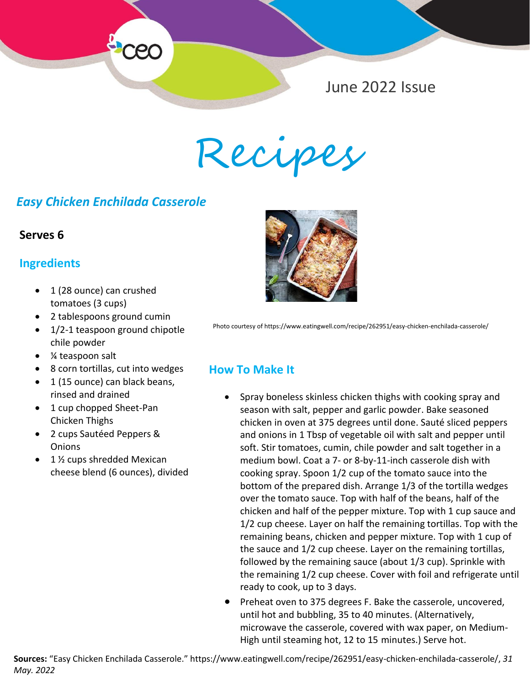

Recipes

## *Easy Chicken Enchilada Casserole*

#### **Serves 6**

### **Ingredients**

- 1 (28 ounce) can crushed tomatoes (3 cups)
- *Serves 6* 2 tablespoons ground cumin
- chile powder • 1/2-1 teaspoon ground chipotle
	- ¼ teaspoon salt
	- 8 corn tortillas, cut into wedges
	- 1 (15 ounce) can black beans, rinsed and drained
	- 1 cup chopped Sheet-Pan Chicken Thighs
	- 2 cups Sautéed Peppers & **Onions**
	- 1 ½ cups shredded Mexican cheese blend (6 ounces), divided



Photo courtesy of https://www.eatingwell.com/recipe/262951/easy-chicken-enchilada-casserole/

### **How To Make It**

- Spray boneless skinless chicken thighs with cooking spray and season with salt, pepper and garlic powder. Bake seasoned chicken in oven at 375 degrees until done. Sauté sliced peppers and onions in 1 Tbsp of vegetable oil with salt and pepper until soft. Stir tomatoes, cumin, chile powder and salt together in a medium bowl. Coat a 7- or 8-by-11-inch casserole dish with cooking spray. Spoon 1/2 cup of the tomato sauce into the bottom of the prepared dish. Arrange 1/3 of the tortilla wedges over the tomato sauce. Top with half of the beans, half of the chicken and half of the pepper mixture. Top with 1 cup sauce and 1/2 cup cheese. Layer on half the remaining tortillas. Top with the remaining beans, chicken and pepper mixture. Top with 1 cup of the sauce and 1/2 cup cheese. Layer on the remaining tortillas, followed by the remaining sauce (about 1/3 cup). Sprinkle with the remaining 1/2 cup cheese. Cover with foil and refrigerate until ready to cook, up to 3 days.
- Preheat oven to 375 degrees F. Bake the casserole, uncovered, until hot and bubbling, 35 to 40 minutes. (Alternatively, microwave the casserole, covered with wax paper, on Medium-High until steaming hot, 12 to 15 minutes.) Serve hot.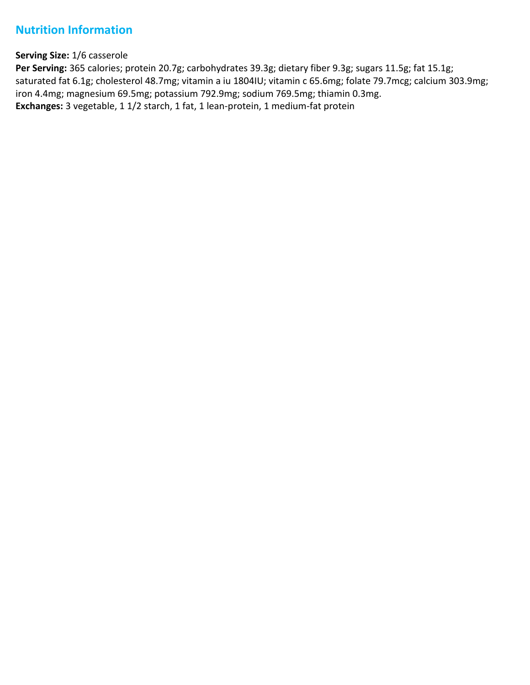## **Nutrition Information**

#### **Serving Size:** 1/6 casserole

Per Serving: 365 calories; protein 20.7g; carbohydrates 39.3g; dietary fiber 9.3g; sugars 11.5g; fat 15.1g; saturated fat 6.1g; cholesterol 48.7mg; vitamin a iu 1804IU; vitamin c 65.6mg; folate 79.7mcg; calcium 303.9mg; iron 4.4mg; magnesium 69.5mg; potassium 792.9mg; sodium 769.5mg; thiamin 0.3mg. **Exchanges:** 3 vegetable, 1 1/2 starch, 1 fat, 1 lean-protein, 1 medium-fat protein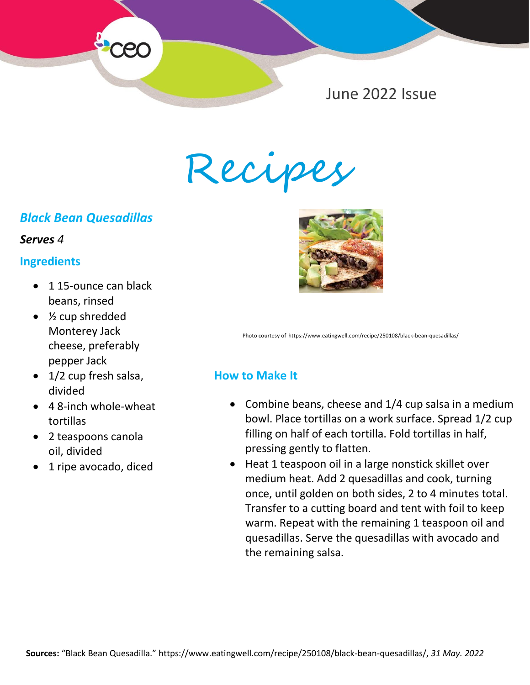

Recipes

# *Black Bean Quesadillas*

#### *Serves 4*

### **Ingredients**

- 115-ounce can black beans, rinsed
- ½ cup shredded Monterey Jack cheese, preferably pepper Jack
- 1/2 cup fresh salsa, divided
- 4 8-inch whole-wheat tortillas
- 2 teaspoons canola oil, divided
- 1 ripe avocado, diced



Photo courtesy of https://www.eatingwell.com/recipe/250108/black-bean-quesadillas/

## **How to Make It**

- Combine beans, cheese and 1/4 cup salsa in a medium bowl. Place tortillas on a work surface. Spread 1/2 cup filling on half of each tortilla. Fold tortillas in half, pressing gently to flatten.
- Heat 1 teaspoon oil in a large nonstick skillet over medium heat. Add 2 quesadillas and cook, turning once, until golden on both sides, 2 to 4 minutes total. Transfer to a cutting board and tent with foil to keep warm. Repeat with the remaining 1 teaspoon oil and quesadillas. Serve the quesadillas with avocado and the remaining salsa.